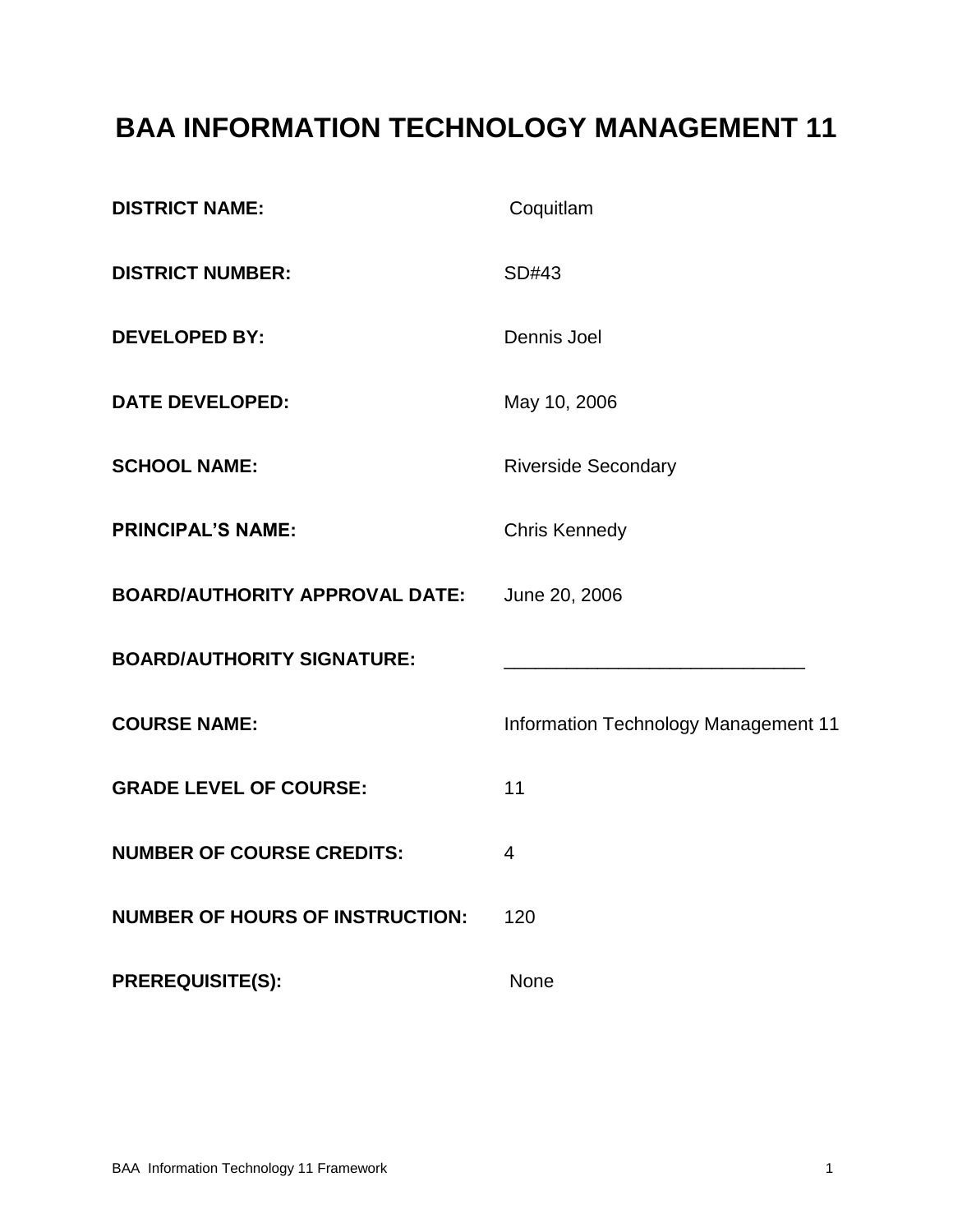# **BAA INFORMATION TECHNOLOGY MANAGEMENT 11**

| <b>DISTRICT NAME:</b>                  | Coquitlam                            |
|----------------------------------------|--------------------------------------|
| <b>DISTRICT NUMBER:</b>                | SD#43                                |
| <b>DEVELOPED BY:</b>                   | Dennis Joel                          |
| <b>DATE DEVELOPED:</b>                 | May 10, 2006                         |
| <b>SCHOOL NAME:</b>                    | <b>Riverside Secondary</b>           |
| <b>PRINCIPAL'S NAME:</b>               | <b>Chris Kennedy</b>                 |
| <b>BOARD/AUTHORITY APPROVAL DATE:</b>  | June 20, 2006                        |
| <b>BOARD/AUTHORITY SIGNATURE:</b>      |                                      |
| <b>COURSE NAME:</b>                    | Information Technology Management 11 |
| <b>GRADE LEVEL OF COURSE:</b>          | 11                                   |
| <b>NUMBER OF COURSE CREDITS:</b>       | $\overline{4}$                       |
| <b>NUMBER OF HOURS OF INSTRUCTION:</b> | 120                                  |
| <b>PREREQUISITE(S):</b>                | None                                 |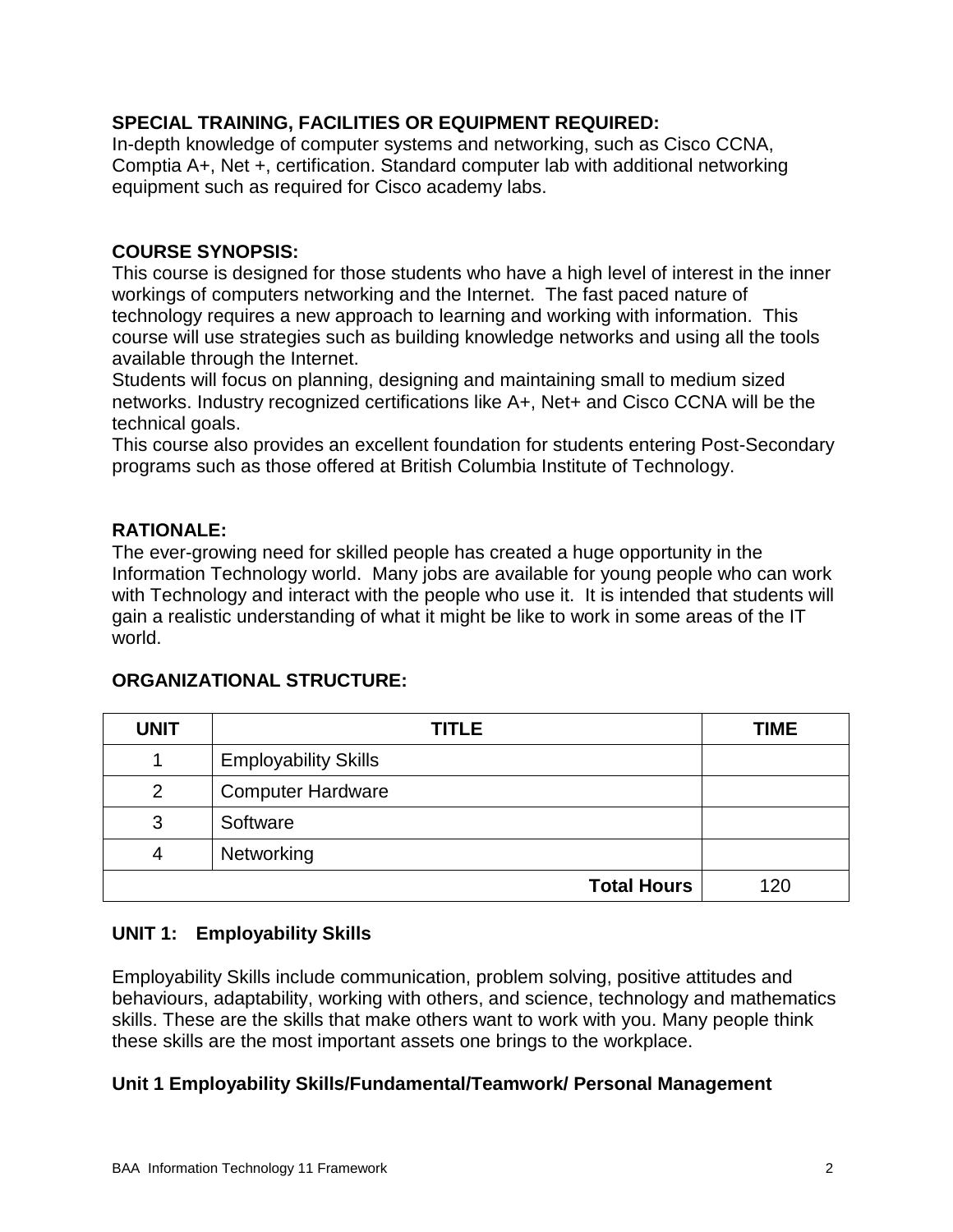# **SPECIAL TRAINING, FACILITIES OR EQUIPMENT REQUIRED:**

In-depth knowledge of computer systems and networking, such as Cisco CCNA, Comptia A+, Net +, certification. Standard computer lab with additional networking equipment such as required for Cisco academy labs.

## **COURSE SYNOPSIS:**

This course is designed for those students who have a high level of interest in the inner workings of computers networking and the Internet. The fast paced nature of technology requires a new approach to learning and working with information. This course will use strategies such as building knowledge networks and using all the tools available through the Internet.

Students will focus on planning, designing and maintaining small to medium sized networks. Industry recognized certifications like A+, Net+ and Cisco CCNA will be the technical goals.

This course also provides an excellent foundation for students entering Post-Secondary programs such as those offered at British Columbia Institute of Technology.

# **RATIONALE:**

The ever-growing need for skilled people has created a huge opportunity in the Information Technology world. Many jobs are available for young people who can work with Technology and interact with the people who use it. It is intended that students will gain a realistic understanding of what it might be like to work in some areas of the IT world.

| <b>UNIT</b> | <b>TITLE</b>                | <b>TIME</b> |
|-------------|-----------------------------|-------------|
|             | <b>Employability Skills</b> |             |
| 2           | <b>Computer Hardware</b>    |             |
| 3           | Software                    |             |
| 4           | Networking                  |             |
|             | <b>Total Hours</b>          | 120         |

### **ORGANIZATIONAL STRUCTURE:**

### **UNIT 1: Employability Skills**

Employability Skills include communication, problem solving, positive attitudes and behaviours, adaptability, working with others, and science, technology and mathematics skills. These are the skills that make others want to work with you. Many people think these skills are the most important assets one brings to the workplace.

### **Unit 1 Employability Skills/Fundamental/Teamwork/ Personal Management**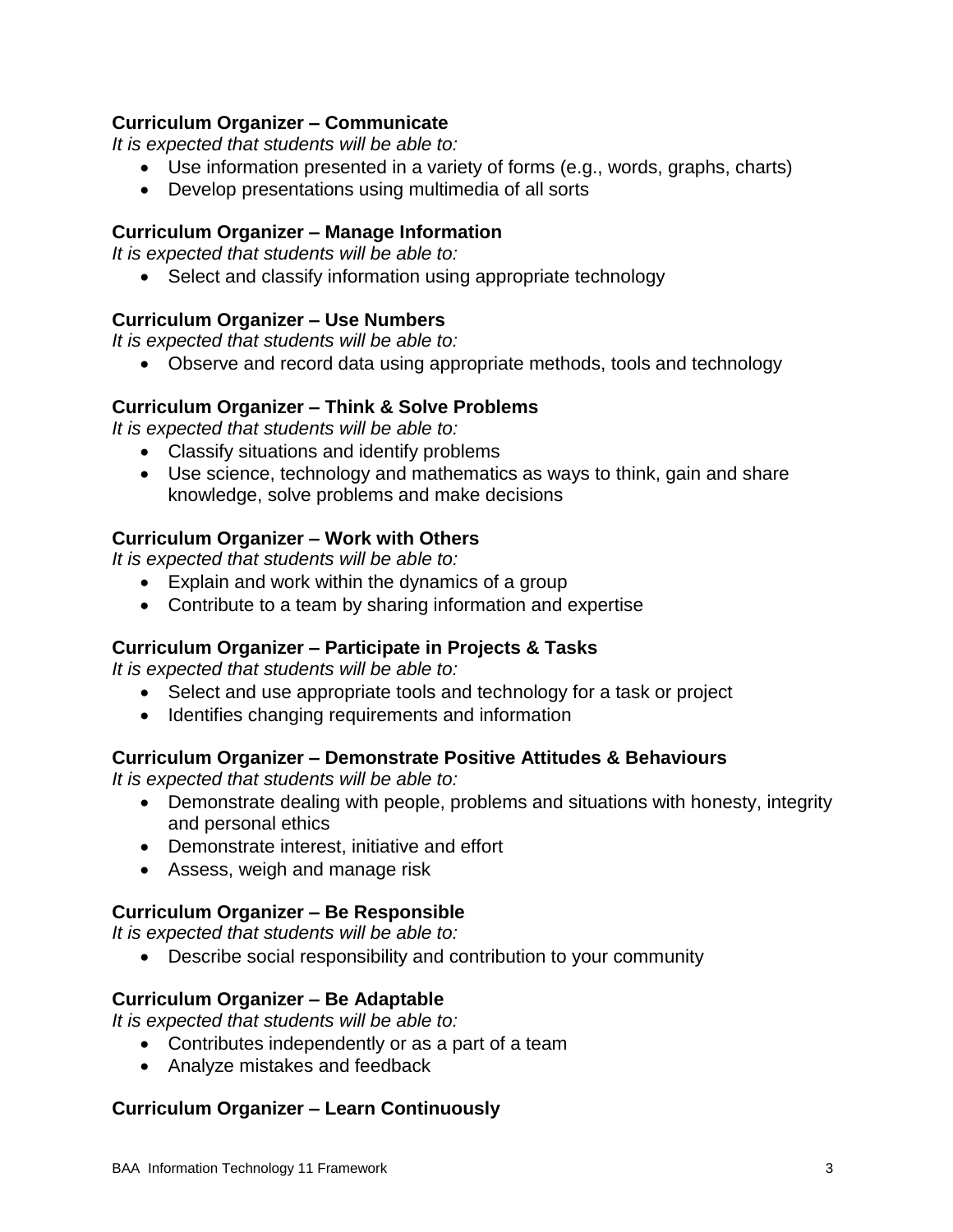## **Curriculum Organizer – Communicate**

*It is expected that students will be able to:*

- Use information presented in a variety of forms (e.g., words, graphs, charts)
- Develop presentations using multimedia of all sorts

## **Curriculum Organizer – Manage Information**

*It is expected that students will be able to:*

• Select and classify information using appropriate technology

# **Curriculum Organizer – Use Numbers**

*It is expected that students will be able to:*

• Observe and record data using appropriate methods, tools and technology

### **Curriculum Organizer – Think & Solve Problems**

*It is expected that students will be able to:*

- Classify situations and identify problems
- Use science, technology and mathematics as ways to think, gain and share knowledge, solve problems and make decisions

# **Curriculum Organizer – Work with Others**

*It is expected that students will be able to:*

- Explain and work within the dynamics of a group
- Contribute to a team by sharing information and expertise

# **Curriculum Organizer – Participate in Projects & Tasks**

*It is expected that students will be able to:*

- Select and use appropriate tools and technology for a task or project
- Identifies changing requirements and information

### **Curriculum Organizer – Demonstrate Positive Attitudes & Behaviours**

*It is expected that students will be able to:*

- Demonstrate dealing with people, problems and situations with honesty, integrity and personal ethics
- Demonstrate interest, initiative and effort
- Assess, weigh and manage risk

# **Curriculum Organizer – Be Responsible**

*It is expected that students will be able to:*

Describe social responsibility and contribution to your community

### **Curriculum Organizer – Be Adaptable**

*It is expected that students will be able to:*

- Contributes independently or as a part of a team
- Analyze mistakes and feedback

### **Curriculum Organizer – Learn Continuously**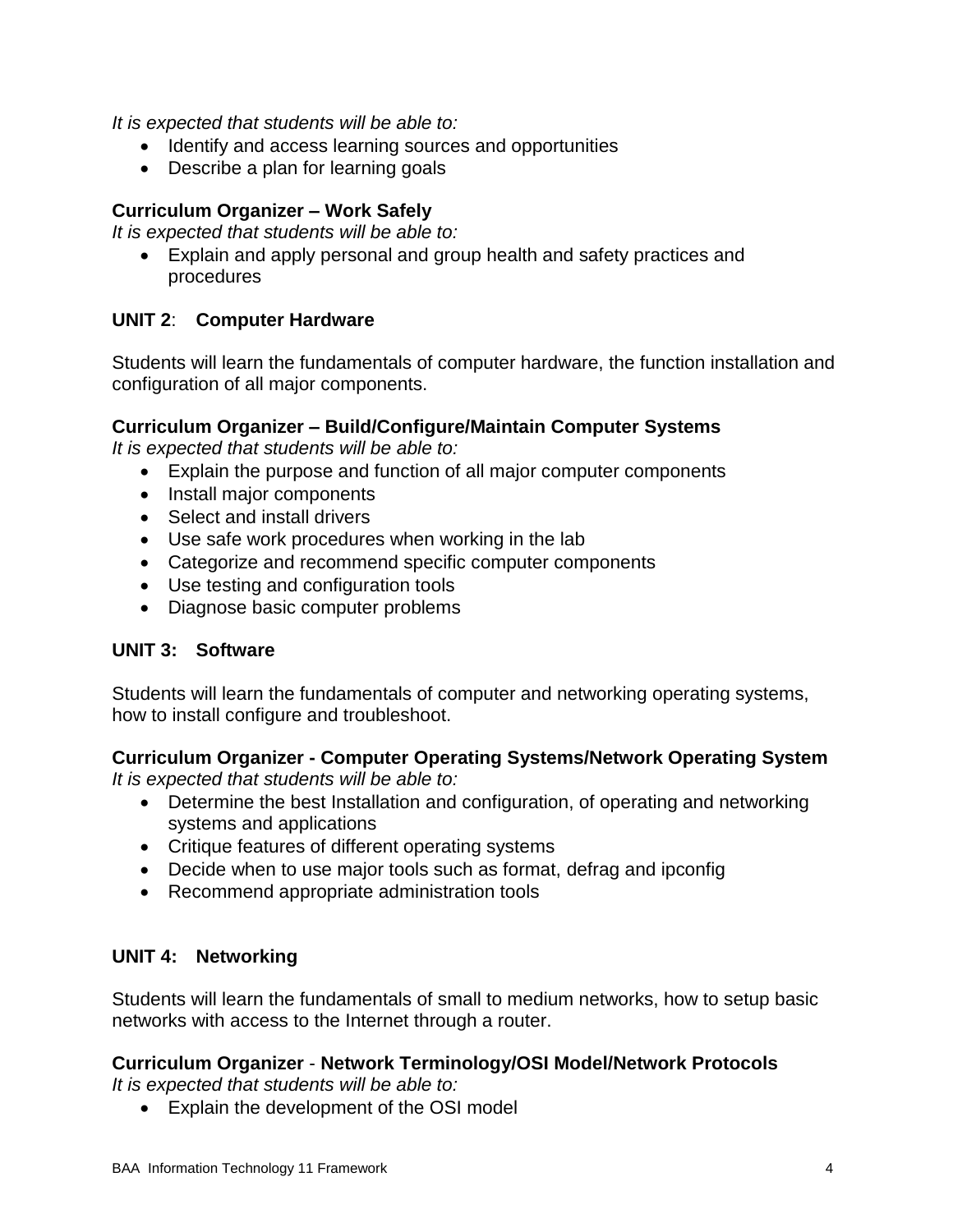*It is expected that students will be able to:*

- Identify and access learning sources and opportunities
- Describe a plan for learning goals

#### **Curriculum Organizer – Work Safely**

*It is expected that students will be able to:*

 Explain and apply personal and group health and safety practices and procedures

### **UNIT 2**: **Computer Hardware**

Students will learn the fundamentals of computer hardware, the function installation and configuration of all major components.

#### **Curriculum Organizer – Build/Configure/Maintain Computer Systems**

*It is expected that students will be able to:*

- Explain the purpose and function of all major computer components
- Install major components
- Select and install drivers
- Use safe work procedures when working in the lab
- Categorize and recommend specific computer components
- Use testing and configuration tools
- Diagnose basic computer problems

### **UNIT 3: Software**

Students will learn the fundamentals of computer and networking operating systems, how to install configure and troubleshoot.

### **Curriculum Organizer - Computer Operating Systems/Network Operating System**

*It is expected that students will be able to:*

- Determine the best Installation and configuration, of operating and networking systems and applications
- Critique features of different operating systems
- Decide when to use major tools such as format, defrag and ipconfig
- Recommend appropriate administration tools

#### **UNIT 4: Networking**

Students will learn the fundamentals of small to medium networks, how to setup basic networks with access to the Internet through a router.

#### **Curriculum Organizer** - **Network Terminology/OSI Model/Network Protocols**

*It is expected that students will be able to:*

Explain the development of the OSI model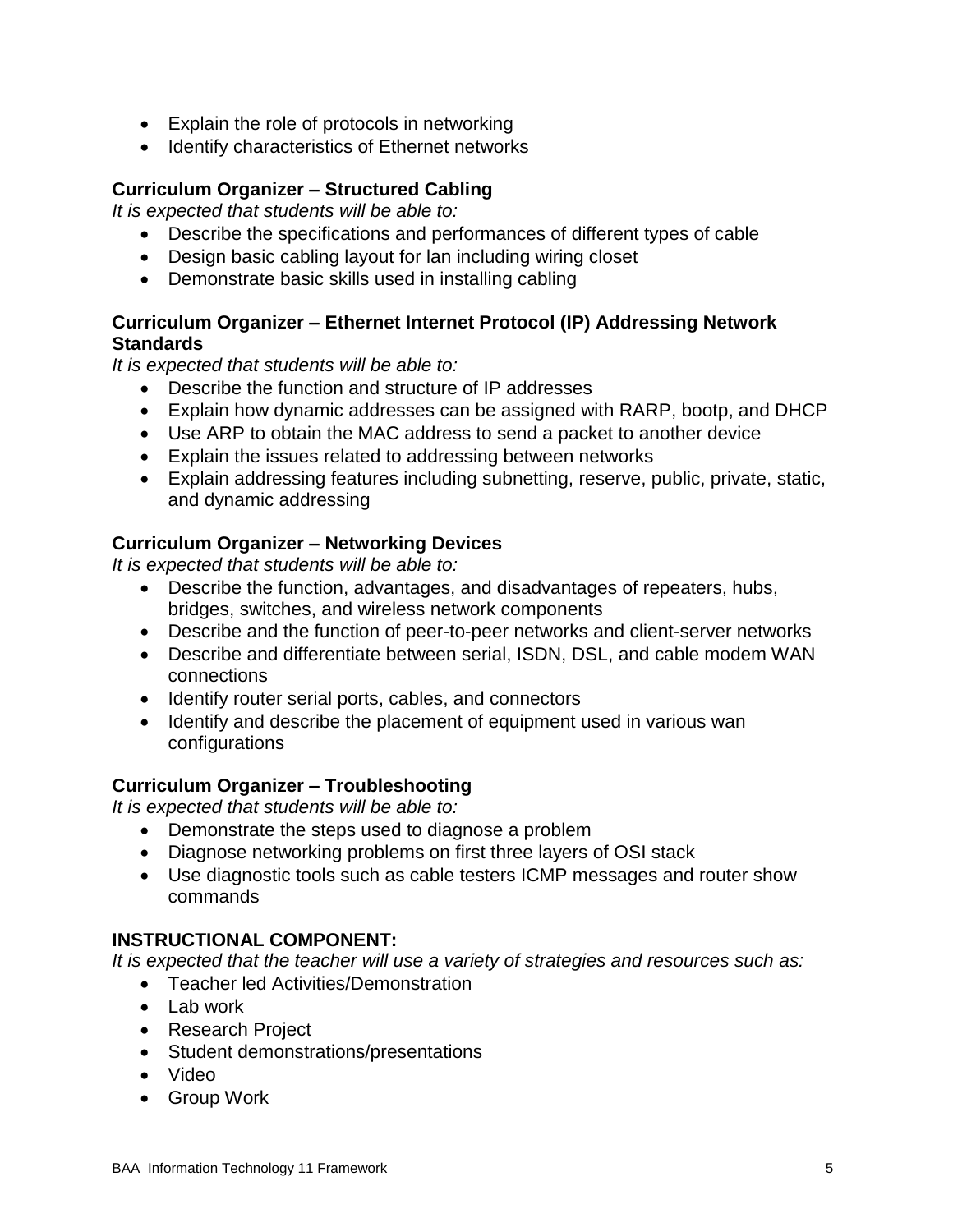- Explain the role of protocols in networking
- Identify characteristics of Ethernet networks

# **Curriculum Organizer – Structured Cabling**

*It is expected that students will be able to:*

- Describe the specifications and performances of different types of cable
- Design basic cabling layout for lan including wiring closet
- Demonstrate basic skills used in installing cabling

# **Curriculum Organizer – Ethernet Internet Protocol (IP) Addressing Network Standards**

*It is expected that students will be able to:*

- Describe the function and structure of IP addresses
- Explain how dynamic addresses can be assigned with RARP, bootp, and DHCP
- Use ARP to obtain the MAC address to send a packet to another device
- Explain the issues related to addressing between networks
- Explain addressing features including subnetting, reserve, public, private, static, and dynamic addressing

# **Curriculum Organizer – Networking Devices**

*It is expected that students will be able to:*

- Describe the function, advantages, and disadvantages of repeaters, hubs, bridges, switches, and wireless network components
- Describe and the function of peer-to-peer networks and client-server networks
- Describe and differentiate between serial, ISDN, DSL, and cable modem WAN connections
- Identify router serial ports, cables, and connectors
- Identify and describe the placement of equipment used in various wan configurations

# **Curriculum Organizer – Troubleshooting**

*It is expected that students will be able to:* 

- Demonstrate the steps used to diagnose a problem
- Diagnose networking problems on first three layers of OSI stack
- Use diagnostic tools such as cable testers ICMP messages and router show commands

# **INSTRUCTIONAL COMPONENT:**

*It is expected that the teacher will use a variety of strategies and resources such as:* 

- Teacher led Activities/Demonstration
- $\bullet$  Lab work
- Research Project
- Student demonstrations/presentations
- Video
- Group Work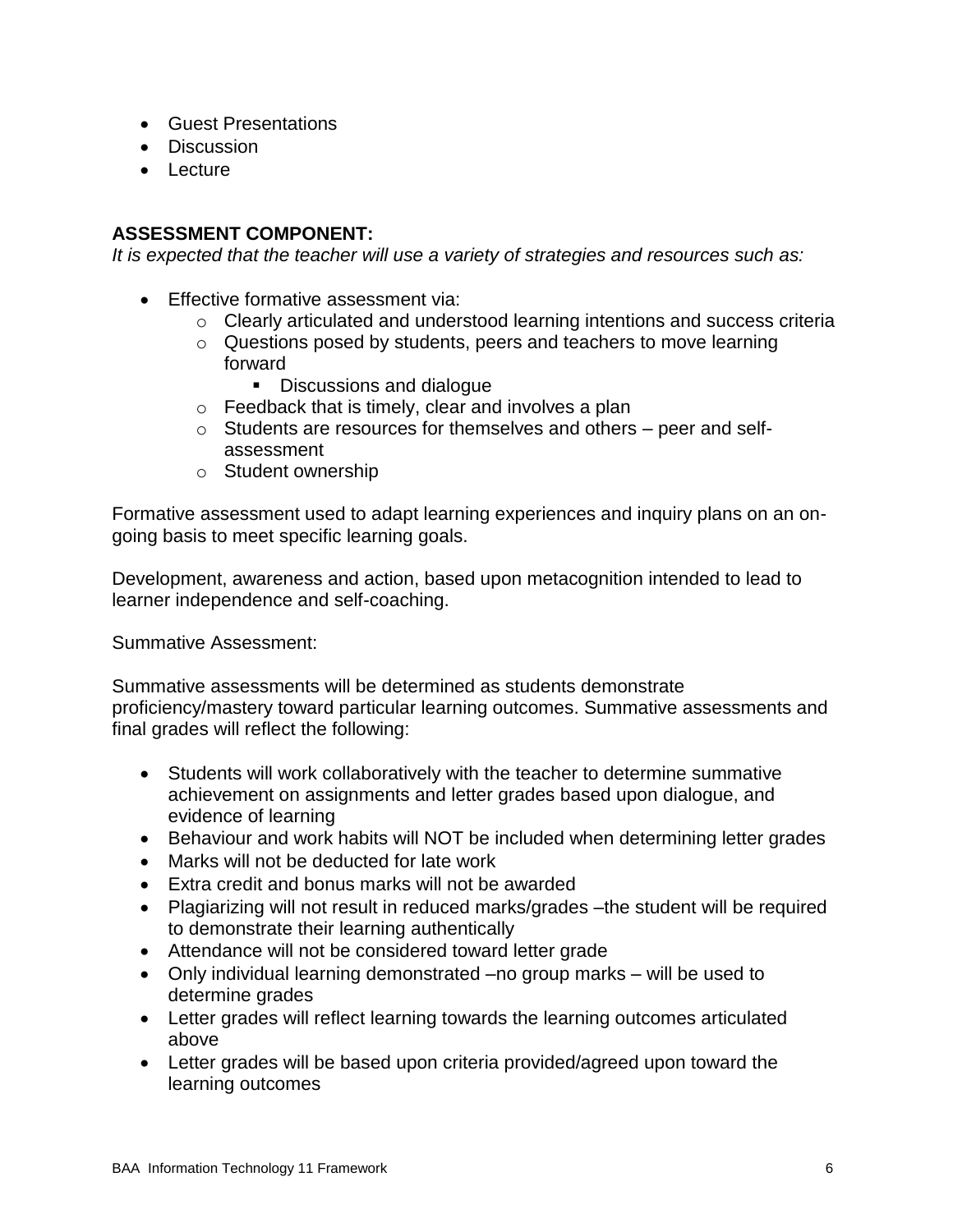- Guest Presentations
- Discussion
- Lecture

# **ASSESSMENT COMPONENT:**

*It is expected that the teacher will use a variety of strategies and resources such as:*

- **Effective formative assessment via:** 
	- o Clearly articulated and understood learning intentions and success criteria
	- o Questions posed by students, peers and teachers to move learning forward
		- **Discussions and dialogue**
	- o Feedback that is timely, clear and involves a plan
	- o Students are resources for themselves and others peer and selfassessment
	- o Student ownership

Formative assessment used to adapt learning experiences and inquiry plans on an ongoing basis to meet specific learning goals.

Development, awareness and action, based upon metacognition intended to lead to learner independence and self-coaching.

Summative Assessment:

Summative assessments will be determined as students demonstrate proficiency/mastery toward particular learning outcomes. Summative assessments and final grades will reflect the following:

- Students will work collaboratively with the teacher to determine summative achievement on assignments and letter grades based upon dialogue, and evidence of learning
- Behaviour and work habits will NOT be included when determining letter grades
- Marks will not be deducted for late work
- Extra credit and bonus marks will not be awarded
- Plagiarizing will not result in reduced marks/grades –the student will be required to demonstrate their learning authentically
- Attendance will not be considered toward letter grade
- Only individual learning demonstrated –no group marks will be used to determine grades
- Letter grades will reflect learning towards the learning outcomes articulated above
- Letter grades will be based upon criteria provided/agreed upon toward the learning outcomes